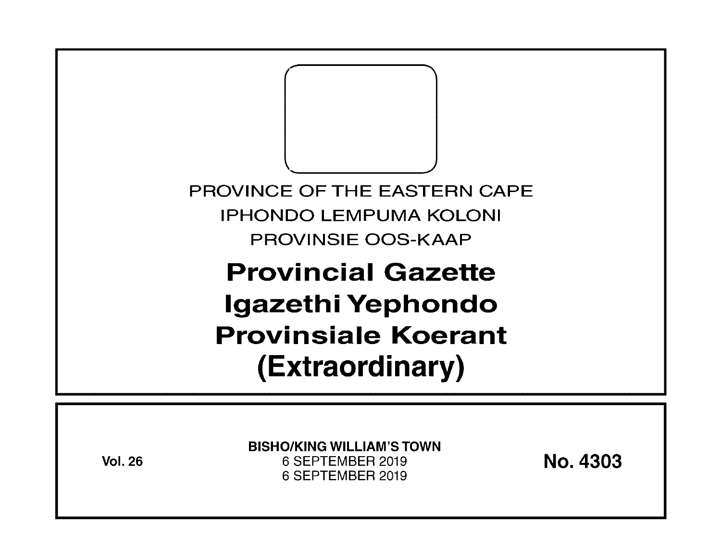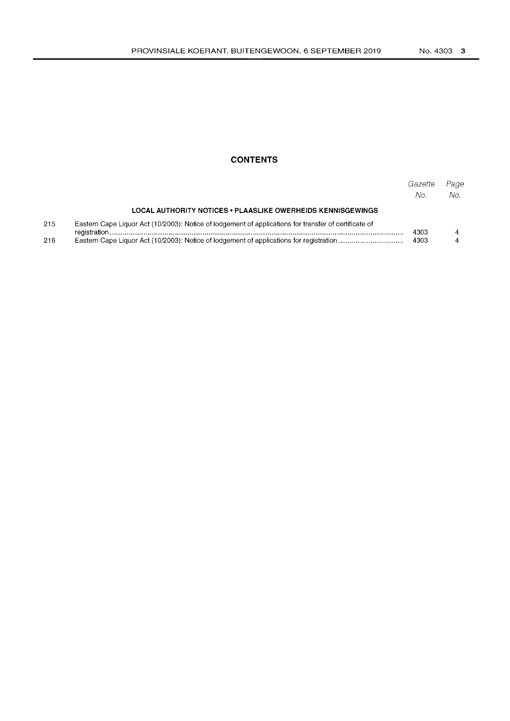## **CONTENTS**

|     |                                                                                                       | Gazette<br>No. | Page<br>No. |  |
|-----|-------------------------------------------------------------------------------------------------------|----------------|-------------|--|
|     | LOCAL AUTHORITY NOTICES • PLAASLIKE OWERHEIDS KENNISGEWINGS                                           |                |             |  |
| 215 | Eastern Cape Liquor Act (10/2003): Notice of lodgement of applications for transfer of certificate of |                |             |  |
| 216 |                                                                                                       |                |             |  |